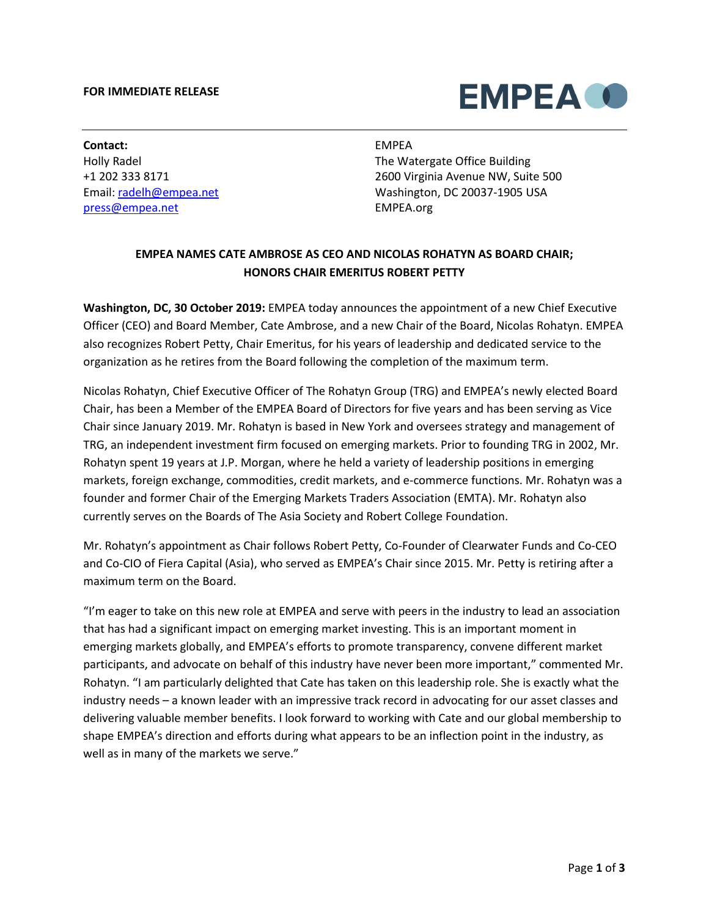## **FOR IMMEDIATE RELEASE**



**Contact:** Holly Radel +1 202 333 8171 Email: [radelh@empea.net](mailto:radelh@empea.net) [press@empea.net](mailto:press@empea.net)

## EMPEA

The Watergate Office Building 2600 Virginia Avenue NW, Suite 500 Washington, DC 20037-1905 USA EMPEA.org

## **EMPEA NAMES CATE AMBROSE AS CEO AND NICOLAS ROHATYN AS BOARD CHAIR; HONORS CHAIR EMERITUS ROBERT PETTY**

**Washington, DC, 30 October 2019:** EMPEA today announces the appointment of a new Chief Executive Officer (CEO) and Board Member, Cate Ambrose, and a new Chair of the Board, Nicolas Rohatyn. EMPEA also recognizes Robert Petty, Chair Emeritus, for his years of leadership and dedicated service to the organization as he retires from the Board following the completion of the maximum term.

Nicolas Rohatyn, Chief Executive Officer of The Rohatyn Group (TRG) and EMPEA's newly elected Board Chair, has been a Member of the EMPEA Board of Directors for five years and has been serving as Vice Chair since January 2019. Mr. Rohatyn is based in New York and oversees strategy and management of TRG, an independent investment firm focused on emerging markets. Prior to founding TRG in 2002, Mr. Rohatyn spent 19 years at J.P. Morgan, where he held a variety of leadership positions in emerging markets, foreign exchange, commodities, credit markets, and e-commerce functions. Mr. Rohatyn was a founder and former Chair of the Emerging Markets Traders Association (EMTA). Mr. Rohatyn also currently serves on the Boards of The Asia Society and Robert College Foundation.

Mr. Rohatyn's appointment as Chair follows Robert Petty, Co-Founder of Clearwater Funds and Co-CEO and Co-CIO of Fiera Capital (Asia), who served as EMPEA's Chair since 2015. Mr. Petty is retiring after a maximum term on the Board.

"I'm eager to take on this new role at EMPEA and serve with peers in the industry to lead an association that has had a significant impact on emerging market investing. This is an important moment in emerging markets globally, and EMPEA's efforts to promote transparency, convene different market participants, and advocate on behalf of this industry have never been more important," commented Mr. Rohatyn. "I am particularly delighted that Cate has taken on this leadership role. She is exactly what the industry needs – a known leader with an impressive track record in advocating for our asset classes and delivering valuable member benefits. I look forward to working with Cate and our global membership to shape EMPEA's direction and efforts during what appears to be an inflection point in the industry, as well as in many of the markets we serve."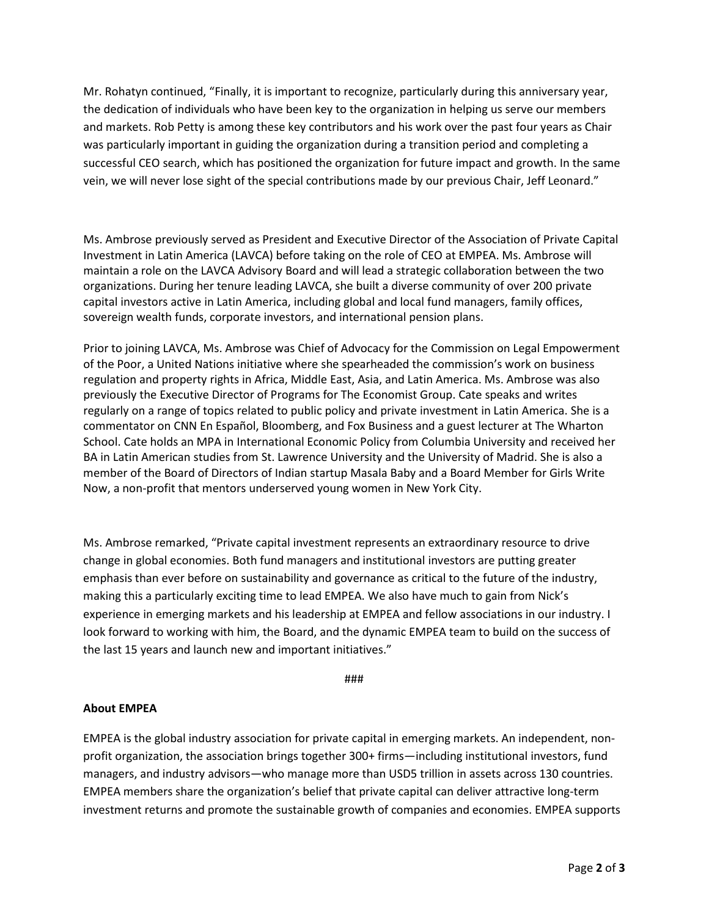Mr. Rohatyn continued, "Finally, it is important to recognize, particularly during this anniversary year, the dedication of individuals who have been key to the organization in helping us serve our members and markets. Rob Petty is among these key contributors and his work over the past four years as Chair was particularly important in guiding the organization during a transition period and completing a successful CEO search, which has positioned the organization for future impact and growth. In the same vein, we will never lose sight of the special contributions made by our previous Chair, Jeff Leonard."

Ms. Ambrose previously served as President and Executive Director of the Association of Private Capital Investment in Latin America (LAVCA) before taking on the role of CEO at EMPEA. Ms. Ambrose will maintain a role on the LAVCA Advisory Board and will lead a strategic collaboration between the two organizations. During her tenure leading LAVCA, she built a diverse community of over 200 private capital investors active in Latin America, including global and local fund managers, family offices, sovereign wealth funds, corporate investors, and international pension plans.

Prior to joining LAVCA, Ms. Ambrose was Chief of Advocacy for the Commission on Legal Empowerment of the Poor, a United Nations initiative where she spearheaded the commission's work on business regulation and property rights in Africa, Middle East, Asia, and Latin America. Ms. Ambrose was also previously the Executive Director of Programs for The Economist Group. Cate speaks and writes regularly on a range of topics related to public policy and private investment in Latin America. She is a commentator on CNN En Español, Bloomberg, and Fox Business and a guest lecturer at The Wharton School. Cate holds an MPA in International Economic Policy from Columbia University and received her BA in Latin American studies from St. Lawrence University and the University of Madrid. She is also a member of the Board of Directors of Indian startup Masala Baby and a Board Member for Girls Write Now, a non-profit that mentors underserved young women in New York City.

Ms. Ambrose remarked, "Private capital investment represents an extraordinary resource to drive change in global economies. Both fund managers and institutional investors are putting greater emphasis than ever before on sustainability and governance as critical to the future of the industry, making this a particularly exciting time to lead EMPEA. We also have much to gain from Nick's experience in emerging markets and his leadership at EMPEA and fellow associations in our industry. I look forward to working with him, the Board, and the dynamic EMPEA team to build on the success of the last 15 years and launch new and important initiatives."

###

## **About EMPEA**

EMPEA is the global industry association for private capital in emerging markets. An independent, nonprofit organization, the association brings together 300+ firms—including institutional investors, fund managers, and industry advisors—who manage more than USD5 trillion in assets across 130 countries. EMPEA members share the organization's belief that private capital can deliver attractive long-term investment returns and promote the sustainable growth of companies and economies. EMPEA supports